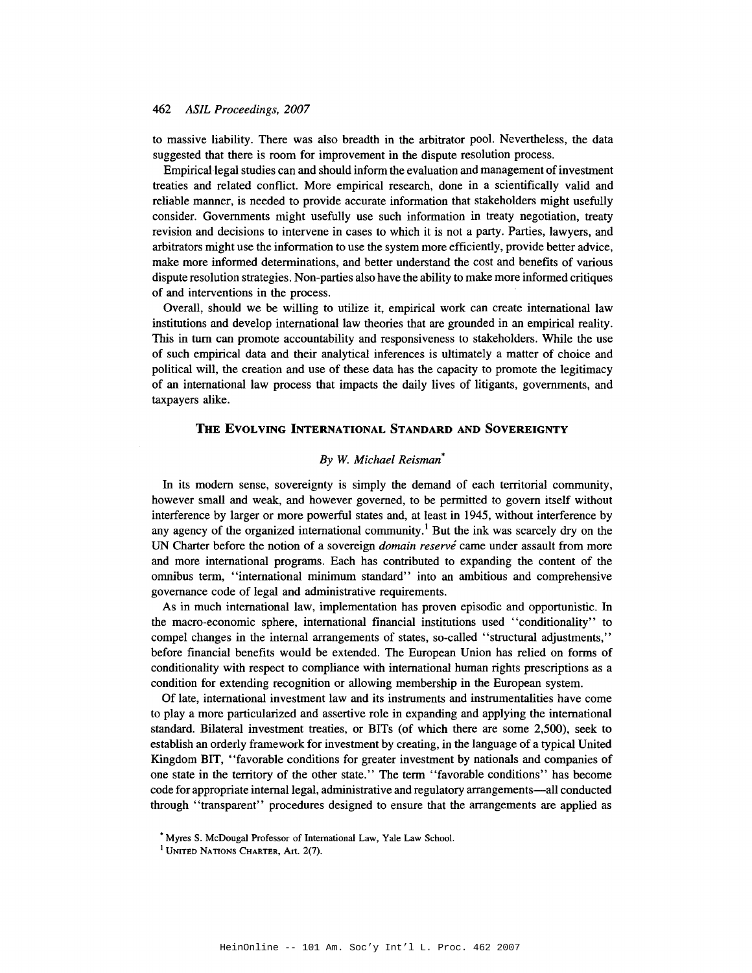## *462 ASIL Proceedings, 2007*

to massive liability. There was also breadth in the arbitrator pool. Nevertheless, the data suggested that there is room for improvement in the dispute resolution process.

Empirical legal studies can and should inform the evaluation and management of investment treaties and related conflict. More empirical research, done in a scientifically valid and reliable manner, is needed to provide accurate information that stakeholders might usefully consider. Governments might usefully use such information in treaty negotiation, treaty revision and decisions to intervene in cases to which it is not a party. Parties, lawyers, and arbitrators might use the information to use the system more efficiently, provide better advice, make more informed determinations, and better understand the cost and benefits of various dispute resolution strategies. Non-parties also have the ability to make more informed critiques of and interventions in the process.

Overall, should we be willing to utilize it, empirical work can create international law institutions and develop international law theories that are grounded in an empirical reality. This in tum can promote accountability and responsiveness to stakeholders. While the use of such empirical data and their analytical inferences is ultimately a matter of choice and political will, the creation and use of these data has the capacity to promote the legitimacy of an international law process that impacts the daily lives of litigants, governments, and taxpayers alike.

# **THE EVOLVING INTERNATIONAL STANDARD AND SOVEREIGNTY**

## *By W. Michael Reisman*\*

In its modem sense, sovereignty is simply the demand of each territorial community, however small and weak, and however governed, to be permitted to govern itself without interference by larger or more powerful states and, at least in 1945, without interference by any agency of the organized international community.<sup>1</sup> But the ink was scarcely dry on the UN Charter before the notion of a sovereign *domain reserve* came under assault from more and more international programs. Each has contributed to expanding the content of the omnibus term, "international minimum standard" into an ambitious and comprehensive governance code of legal and administrative requirements.

As in much international law, implementation has proven episodic and opportunistic. In the macro-economic sphere, international financial institutions used "conditionality" to compel changes in the internal arrangements of states, so-called "structural adjustments," before financial benefits would be extended. The European Union has relied on forms of conditionality with respect to compliance with international human rights prescriptions as a condition for extending recognition or allowing membership in the European system.

Of late, international investment law and its instruments and instrumentalities have come to play a more particularized and assertive role in expanding and applying the international standard. Bilateral investment treaties, or BITs (of which there are some 2,500), seek to establish an orderly framework for investment by creating, in the language of a typical United Kingdom BIT, "favorable conditions for greater investment by nationals and companies of one state in the territory of the other state." The term "favorable conditions" has become code for appropriate internal legal, administrative and regulatory arrangements-all conducted through "transparent" procedures designed to ensure that the arrangements are applied as

<sup>•</sup> Myres S. McDougal Professor of International Law, Yale Law School.

<sup>&</sup>lt;sup>1</sup> UNITED NATIONS CHARTER, Art. 2(7).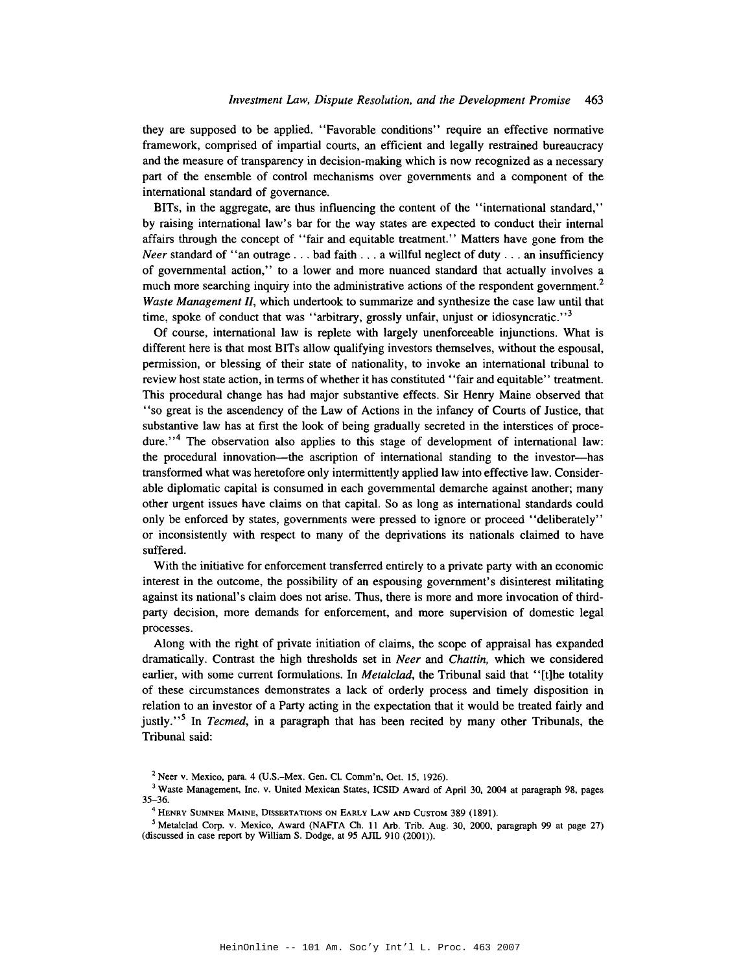they are supposed to be applied. "Favorable conditions" require an effective normative framework, comprised of impartial courts, an efficient and legally restrained bureaucracy and the measure of transparency in decision-making which is now recognized as a necessary part of the ensemble of control mechanisms over governments and a component of the international standard of governance.

BITs, in the aggregate, are thus influencing the content of the "international standard," by raising international law's bar for the way states are expected to conduct their internal affairs through the concept of "fair and equitable treatment." Matters have gone from the *Neer* standard of "an outrage . . . bad faith . . . a willful neglect of duty . . . an insufficiency of governmental action," to a lower and more nuanced standard that actually involves a much more searching inquiry into the administrative actions of the respondent government.<sup>2</sup> Waste Management II, which undertook to summarize and synthesize the case law until that time, spoke of conduct that was "arbitrary, grossly unfair, unjust or idiosyncratic."<sup>3</sup>

Of course, international law is replete with largely unenforceable injunctions. What is different here is that most BITs allow qualifying investors themselves, without the espousal, permission, or blessing of their state of nationality, to invoke an international tribunal to review host state action, in terms of whether it has constituted "fair and equitable" treatment. This procedural change has had major substantive effects. Sir Henry Maine observed that "so great is the ascendency of the Law of Actions in the infancy of Courts of Justice, that substantive law has at first the look of being gradually secreted in the interstices of procedure."<sup>4</sup> The observation also applies to this stage of development of international law: the procedural innovation—the ascription of international standing to the investor—has transformed what was heretofore only intermittently applied law into effective law. Considerable diplomatic capital is consumed in each governmental demarche against another; many other urgent issues have claims on that capital. So as long as international standards could only be enforced by states, governments were pressed to ignore or proceed "deliberately" or inconsistently with respect to many of the deprivations its nationals claimed to have suffered.

With the initiative for enforcement transferred entirely to a private party with an economic interest in the outcome, the possibility of an espousing government's disinterest militating against its national's claim does not arise. Thus, there is more and more invocation of thirdparty decision, more demands for enforcement, and more supervision of domestic legal processes.

Along with the right of private initiation of claims, the scope of appraisal has expanded dramatically. Contrast the high thresholds set in *Neer* and *Chattin*, which we considered earlier, with some current formulations. In *Metalclad*, the Tribunal said that "[t]he totality of these circumstances demonstrates a lack of orderly process and timely disposition in relation to an investor of a Party acting in the expectation that it would be treated fairly and justly."<sup>5</sup> In *Tecmed*, in a paragraph that has been recited by many other Tribunals, the Tribunal said:

 $2$  Neer v. Mexico, para. 4 (U.S.–Mex. Gen. Cl. Comm'n, Oct. 15, 1926).

<sup>&</sup>lt;sup>3</sup> Waste Management, Inc. v. United Mexican States, ICSID Award of April 30, 2004 at paragraph 98, pages  $35 - 36.$ 

<sup>&</sup>lt;sup>4</sup> Henry Sumner Maine, Dissertations on Early Law and Custom 389 (1891).

<sup>&</sup>lt;sup>5</sup> Metalclad Corp. v. Mexico, Award (NAFTA Ch. 11 Arb. Trib. Aug. 30, 2000, paragraph 99 at page 27) (discussed in case report by William S. Dodge, at 95 AJIL 910 (2001)).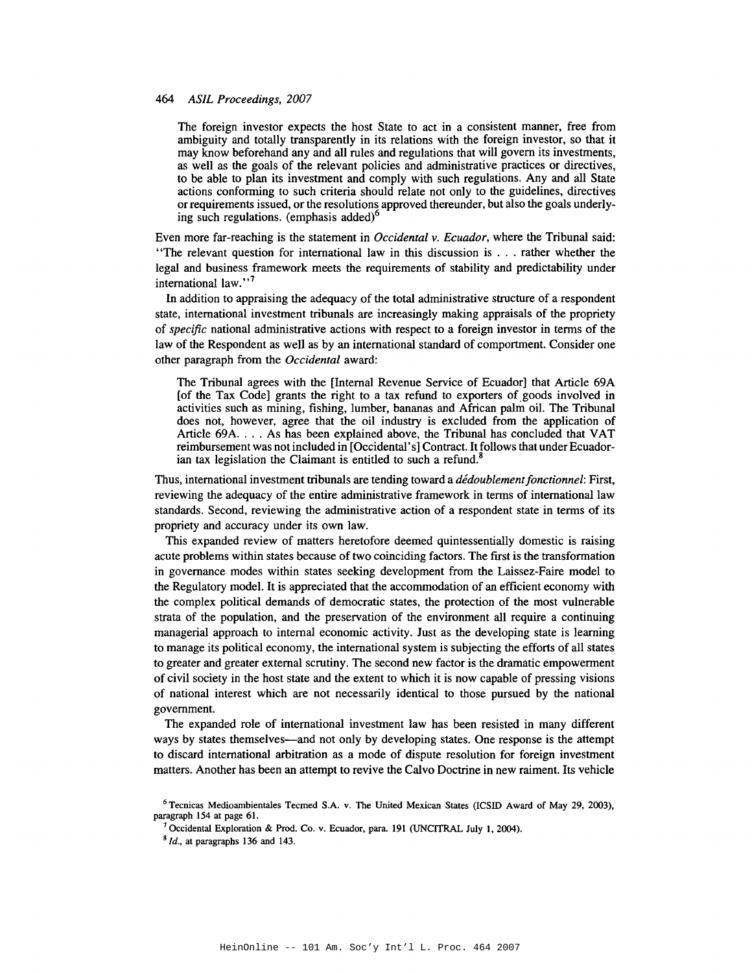#### 464 ASIL Proceedings, 2007

The foreign investor expects the host State to act in a consistent manner, free from ambiguity and totally transparently in its relations with the foreign investor, so that it may know beforehand any and all rules and regulations that will govern its investments, as well as the goals of the relevant policies and administrative practices or directives, to be able to plan its investment and comply with such regulations. Any and all State actions conforming to such criteria should relate not only to the guidelines, directives or requirements issued, or the resolutions approved thereunder, but also the goals underlying such regulations. (emphasis added)<sup>o</sup>

Even more far-reaching is the statement in Occidental v. Ecuador, where the Tribunal said: "The relevant question for international law in this discussion is . . . rather whether the legal and business framework meets the requirements of stability and predictability under international law."<sup>7</sup>

In addition to appraising the adequacy of the total administrative structure of a respondent state, international investment tribunals are increasingly making appraisals of the propriety of *specific* national administrative actions with respect to a foreign investor in terms of the law of the Respondent as well as by an international standard of comportment. Consider one other paragraph from the Occidental award:

The Tribunal agrees with the [Internal Revenue Service of Ecuador] that Article 69A [of the Tax Code] grants the right to a tax refund to exporters of goods involved in activities such as mining, fishing, lumber, bananas and African palm oil. The Tribunal does not, however, agree that the oil industry is excluded from the application of Article 69A. . . . As has been explained above, the Tribunal has concluded that VAT reimbursement was not included in [Occidental's] Contract. It follows that under Ecuadorian tax legislation the Claimant is entitled to such a refund.<sup>8</sup>

Thus, international investment tribunals are tending toward a *dédoublement fonctionnel*: First, reviewing the adequacy of the entire administrative framework in terms of international law standards. Second, reviewing the administrative action of a respondent state in terms of its propriety and accuracy under its own law.

This expanded review of matters heretofore deemed quintessentially domestic is raising acute problems within states because of two coinciding factors. The first is the transformation in governance modes within states seeking development from the Laissez-Faire model to the Regulatory model. It is appreciated that the accommodation of an efficient economy with the complex political demands of democratic states, the protection of the most vulnerable strata of the population, and the preservation of the environment all require a continuing managerial approach to internal economic activity. Just as the developing state is learning to manage its political economy, the international system is subjecting the efforts of all states to greater and greater external scrutiny. The second new factor is the dramatic empowerment of civil society in the host state and the extent to which it is now capable of pressing visions of national interest which are not necessarily identical to those pursued by the national government.

The expanded role of international investment law has been resisted in many different ways by states themselves—and not only by developing states. One response is the attempt to discard international arbitration as a mode of dispute resolution for foreign investment matters. Another has been an attempt to revive the Calvo Doctrine in new raiment. Its vehicle

 $6$  Tecnicas Medioambientales Tecmed S.A. v. The United Mexican States (ICSID Award of May 29, 2003), paragraph 154 at page 61.

<sup>&</sup>lt;sup>7</sup> Occidental Exploration & Prod. Co. v. Ecuador, para. 191 (UNCITRAL July 1, 2004).

 $8$  *Id.*, at paragraphs 136 and 143.